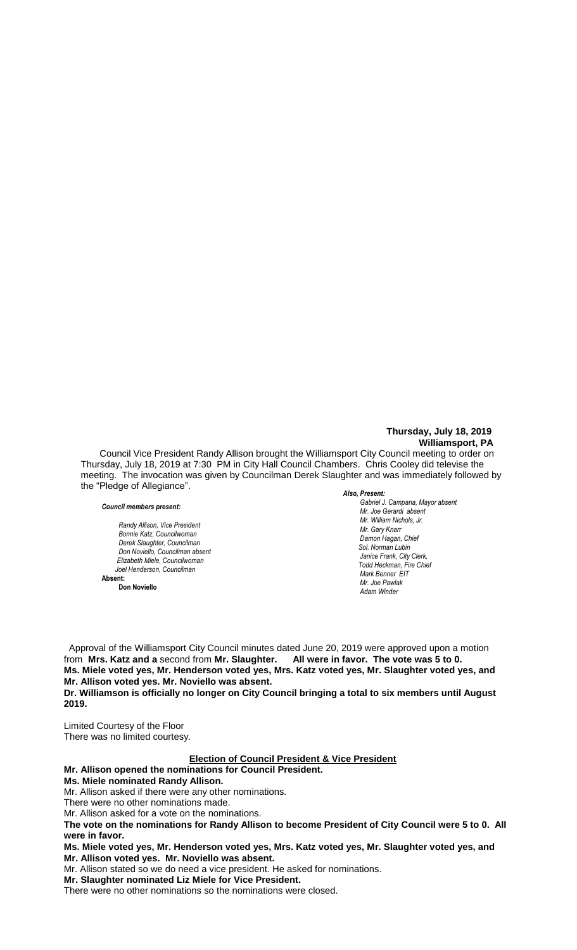## **Thursday, July 18, 2019 Williamsport, PA**

Council Vice President Randy Allison brought the Williamsport City Council meeting to order on Thursday, July 18, 2019 at 7:30 PM in City Hall Council Chambers. Chris Cooley did televise the meeting. The invocation was given by Councilman Derek Slaughter and was immediately followed by the "Pledge of Allegiance".

#### *Council members present:*

 $R$ andy Allison, Vice President *Bonnie Katz, Councilwoman Derek Slaughter, Councilman Don Noviello, Councilman absent Elizabeth Miele, Councilwoman Joel Henderson, Councilman*  **Absent:** 

**Don Noviello**

#### *Also, Present:*

*Gabriel J. Campana, Mayor absent Mr. William Nichols, Jr. Mr. Joe Gerardi absent Mr. Joseph Pawlak Mr. William Nichols, Jr. President Mr. William Nichols, Jr. President President President President President President President President President President President President President Mr. Gary Knarr Damon Hagan, Chief Chief Heinbach absent Sol. Norman Lubin Janice Frank, City Clerk, Todd Heckman, Fire Chief Mark Benner EIT Mr. Joe Pawlak Adam Winder* **Joel Henderson**

 Approval of the Williamsport City Council minutes dated June 20, 2019 were approved upon a motion from **Mrs. Katz and a** second from **Mr. Slaughter. All were in favor. The vote was 5 to 0.** *.*  **Ms. Miele voted yes, Mr. Henderson voted yes, Mrs. Katz voted yes, Mr. Slaughter voted yes, and**   *Mr. Gary Knarr*  **Mr. Allison voted yes. Mr. Noviello was absent.** *Mr. Joe Pawlak*

Dr. Williamson is officially no longer on City Council bringing a total to six members until August **2019.**   *Sol. J. David Smith*

Limited Courtesy of the Floor There was no limited courtesy.

## **Election of Council President & Vice President**

## **Mr. Allison opened the nominations for Council President.**

**Ms. Miele nominated Randy Allison.**

Mr. Allison asked if there were any other nominations.

There were no other nominations made.

Mr. Allison asked for a vote on the nominations.

**The vote on the nominations for Randy Allison to become President of City Council were 5 to 0. All were in favor.** 

**Ms. Miele voted yes, Mr. Henderson voted yes, Mrs. Katz voted yes, Mr. Slaughter voted yes, and Mr. Allison voted yes. Mr. Noviello was absent.**

Mr. Allison stated so we do need a vice president. He asked for nominations.

**Mr. Slaughter nominated Liz Miele for Vice President.**

There were no other nominations so the nominations were closed.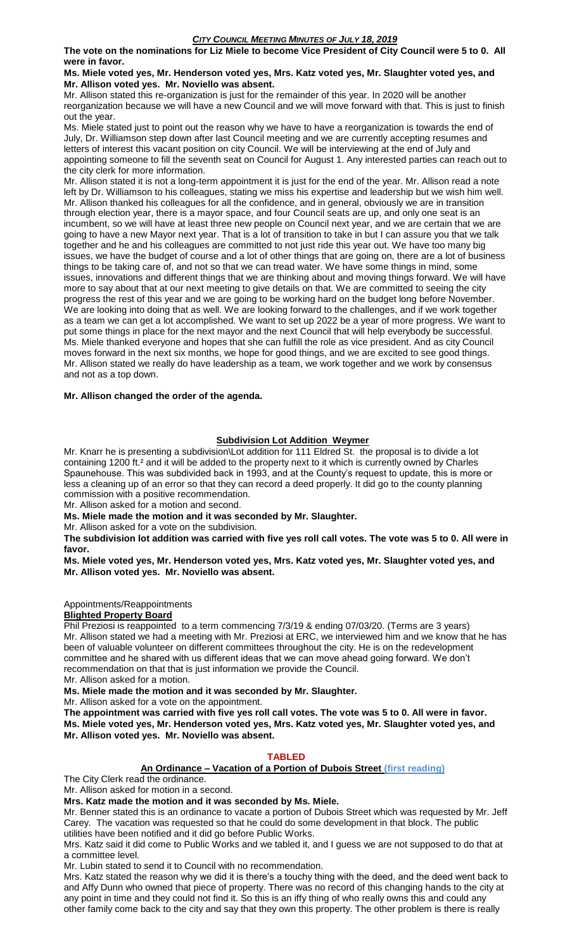**The vote on the nominations for Liz Miele to become Vice President of City Council were 5 to 0. All were in favor.**

**Ms. Miele voted yes, Mr. Henderson voted yes, Mrs. Katz voted yes, Mr. Slaughter voted yes, and Mr. Allison voted yes. Mr. Noviello was absent.**

Mr. Allison stated this re-organization is just for the remainder of this year. In 2020 will be another reorganization because we will have a new Council and we will move forward with that. This is just to finish out the year.

Ms. Miele stated just to point out the reason why we have to have a reorganization is towards the end of July, Dr. Williamson step down after last Council meeting and we are currently accepting resumes and letters of interest this vacant position on city Council. We will be interviewing at the end of July and appointing someone to fill the seventh seat on Council for August 1. Any interested parties can reach out to the city clerk for more information.

Mr. Allison stated it is not a long-term appointment it is just for the end of the year. Mr. Allison read a note left by Dr. Williamson to his colleagues, stating we miss his expertise and leadership but we wish him well. Mr. Allison thanked his colleagues for all the confidence, and in general, obviously we are in transition through election year, there is a mayor space, and four Council seats are up, and only one seat is an incumbent, so we will have at least three new people on Council next year, and we are certain that we are going to have a new Mayor next year. That is a lot of transition to take in but I can assure you that we talk together and he and his colleagues are committed to not just ride this year out. We have too many big issues, we have the budget of course and a lot of other things that are going on, there are a lot of business things to be taking care of, and not so that we can tread water. We have some things in mind, some issues, innovations and different things that we are thinking about and moving things forward. We will have more to say about that at our next meeting to give details on that. We are committed to seeing the city progress the rest of this year and we are going to be working hard on the budget long before November. We are looking into doing that as well. We are looking forward to the challenges, and if we work together as a team we can get a lot accomplished. We want to set up 2022 be a year of more progress. We want to put some things in place for the next mayor and the next Council that will help everybody be successful. Ms. Miele thanked everyone and hopes that she can fulfill the role as vice president. And as city Council moves forward in the next six months, we hope for good things, and we are excited to see good things. Mr. Allison stated we really do have leadership as a team, we work together and we work by consensus and not as a top down.

#### **Mr. Allison changed the order of the agenda.**

## **Subdivision Lot Addition Weymer**

Mr. Knarr he is presenting a subdivision\Lot addition for 111 Eldred St. the proposal is to divide a lot containing 1200 ft.<sup>2</sup> and it will be added to the property next to it which is currently owned by Charles Spaunehouse. This was subdivided back in 1993, and at the County's request to update, this is more or less a cleaning up of an error so that they can record a deed properly. It did go to the county planning commission with a positive recommendation.

Mr. Allison asked for a motion and second.

**Ms. Miele made the motion and it was seconded by Mr. Slaughter.** 

Mr. Allison asked for a vote on the subdivision.

**The subdivision lot addition was carried with five yes roll call votes. The vote was 5 to 0. All were in favor.**

**Ms. Miele voted yes, Mr. Henderson voted yes, Mrs. Katz voted yes, Mr. Slaughter voted yes, and Mr. Allison voted yes. Mr. Noviello was absent.**

Appointments/Reappointments

## **Blighted Property Board**

Phil Preziosi is reappointed to a term commencing 7/3/19 & ending 07/03/20. (Terms are 3 years) Mr. Allison stated we had a meeting with Mr. Preziosi at ERC, we interviewed him and we know that he has been of valuable volunteer on different committees throughout the city. He is on the redevelopment committee and he shared with us different ideas that we can move ahead going forward. We don't recommendation on that that is just information we provide the Council.

Mr. Allison asked for a motion.

**Ms. Miele made the motion and it was seconded by Mr. Slaughter.**

Mr. Allison asked for a vote on the appointment.

**The appointment was carried with five yes roll call votes. The vote was 5 to 0. All were in favor. Ms. Miele voted yes, Mr. Henderson voted yes, Mrs. Katz voted yes, Mr. Slaughter voted yes, and Mr. Allison voted yes. Mr. Noviello was absent.**

#### **TABLED**

#### **An Ordinance – Vacation of a Portion of Dubois Street (first reading)**

The City Clerk read the ordinance.

Mr. Allison asked for motion in a second.

**Mrs. Katz made the motion and it was seconded by Ms. Miele.**

Mr. Benner stated this is an ordinance to vacate a portion of Dubois Street which was requested by Mr. Jeff Carey. The vacation was requested so that he could do some development in that block. The public utilities have been notified and it did go before Public Works.

Mrs. Katz said it did come to Public Works and we tabled it, and I guess we are not supposed to do that at a committee level.

Mr. Lubin stated to send it to Council with no recommendation.

Mrs. Katz stated the reason why we did it is there's a touchy thing with the deed, and the deed went back to and Affy Dunn who owned that piece of property. There was no record of this changing hands to the city at any point in time and they could not find it. So this is an iffy thing of who really owns this and could any other family come back to the city and say that they own this property. The other problem is there is really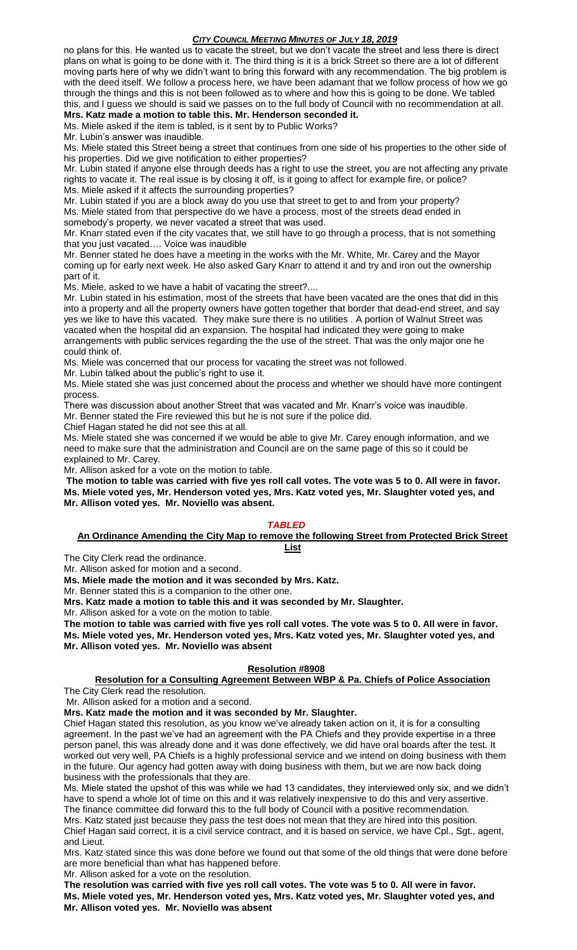no plans for this. He wanted us to vacate the street, but we don't vacate the street and less there is direct plans on what is going to be done with it. The third thing is it is a brick Street so there are a lot of different moving parts here of why we didn't want to bring this forward with any recommendation. The big problem is with the deed itself. We follow a process here, we have been adamant that we follow process of how we go through the things and this is not been followed as to where and how this is going to be done. We tabled this, and I guess we should is said we passes on to the full body of Council with no recommendation at all.

**Mrs. Katz made a motion to table this. Mr. Henderson seconded it.** Ms. Miele asked if the item is tabled, is it sent by to Public Works?

Mr. Lubin's answer was inaudible.

Ms. Miele stated this Street being a street that continues from one side of his properties to the other side of his properties. Did we give notification to either properties?

Mr. Lubin stated if anyone else through deeds has a right to use the street, you are not affecting any private rights to vacate it. The real issue is by closing it off, is it going to affect for example fire, or police? Ms. Miele asked if it affects the surrounding properties?

Mr. Lubin stated if you are a block away do you use that street to get to and from your property? Ms. Miele stated from that perspective do we have a process, most of the streets dead ended in somebody's property, we never vacated a street that was used.

Mr. Knarr stated even if the city vacates that, we still have to go through a process, that is not something that you just vacated…. Voice was inaudible

Mr. Benner stated he does have a meeting in the works with the Mr. White, Mr. Carey and the Mayor coming up for early next week. He also asked Gary Knarr to attend it and try and iron out the ownership part of it.

Ms. Miele, asked to we have a habit of vacating the street?....

Mr. Lubin stated in his estimation, most of the streets that have been vacated are the ones that did in this into a property and all the property owners have gotten together that border that dead-end street, and say yes we like to have this vacated. They make sure there is no utilities . A portion of Walnut Street was vacated when the hospital did an expansion. The hospital had indicated they were going to make arrangements with public services regarding the the use of the street. That was the only major one he could think of.

Ms. Miele was concerned that our process for vacating the street was not followed.

Mr. Lubin talked about the public's right to use it.

Ms. Miele stated she was just concerned about the process and whether we should have more contingent process.

There was discussion about another Street that was vacated and Mr. Knarr's voice was inaudible. Mr. Benner stated the Fire reviewed this but he is not sure if the police did.

Chief Hagan stated he did not see this at all.

Ms. Miele stated she was concerned if we would be able to give Mr. Carey enough information, and we need to make sure that the administration and Council are on the same page of this so it could be explained to Mr. Carey.

Mr. Allison asked for a vote on the motion to table.

**The motion to table was carried with five yes roll call votes. The vote was 5 to 0. All were in favor. Ms. Miele voted yes, Mr. Henderson voted yes, Mrs. Katz voted yes, Mr. Slaughter voted yes, and Mr. Allison voted yes. Mr. Noviello was absent.**

## *TABLED*

#### **An Ordinance Amending the City Map to remove the following Street from Protected Brick Street List**

The City Clerk read the ordinance.

Mr. Allison asked for motion and a second.

**Ms. Miele made the motion and it was seconded by Mrs. Katz.**

Mr. Benner stated this is a companion to the other one.

**Mrs. Katz made a motion to table this and it was seconded by Mr. Slaughter.**

Mr. Allison asked for a vote on the motion to table.

**The motion to table was carried with five yes roll call votes. The vote was 5 to 0. All were in favor. Ms. Miele voted yes, Mr. Henderson voted yes, Mrs. Katz voted yes, Mr. Slaughter voted yes, and Mr. Allison voted yes. Mr. Noviello was absent**

## **Resolution #8908**

# **Resolution for a Consulting Agreement Between WBP & Pa. Chiefs of Police Association**

The City Clerk read the resolution. Mr. Allison asked for a motion and a second.

**Mrs. Katz made the motion and it was seconded by Mr. Slaughter.**

Chief Hagan stated this resolution, as you know we've already taken action on it, it is for a consulting agreement. In the past we've had an agreement with the PA Chiefs and they provide expertise in a three person panel, this was already done and it was done effectively, we did have oral boards after the test. It worked out very well, PA Chiefs is a highly professional service and we intend on doing business with them in the future. Our agency had gotten away with doing business with them, but we are now back doing business with the professionals that they are.

Ms. Miele stated the upshot of this was while we had 13 candidates, they interviewed only six, and we didn't have to spend a whole lot of time on this and it was relatively inexpensive to do this and very assertive. The finance committee did forward this to the full body of Council with a positive recommendation.

Mrs. Katz stated just because they pass the test does not mean that they are hired into this position. Chief Hagan said correct, it is a civil service contract, and it is based on service, we have Cpl., Sgt., agent, and Lieut.

Mrs. Katz stated since this was done before we found out that some of the old things that were done before are more beneficial than what has happened before.

Mr. Allison asked for a vote on the resolution.

**The resolution was carried with five yes roll call votes. The vote was 5 to 0. All were in favor. Ms. Miele voted yes, Mr. Henderson voted yes, Mrs. Katz voted yes, Mr. Slaughter voted yes, and Mr. Allison voted yes. Mr. Noviello was absent**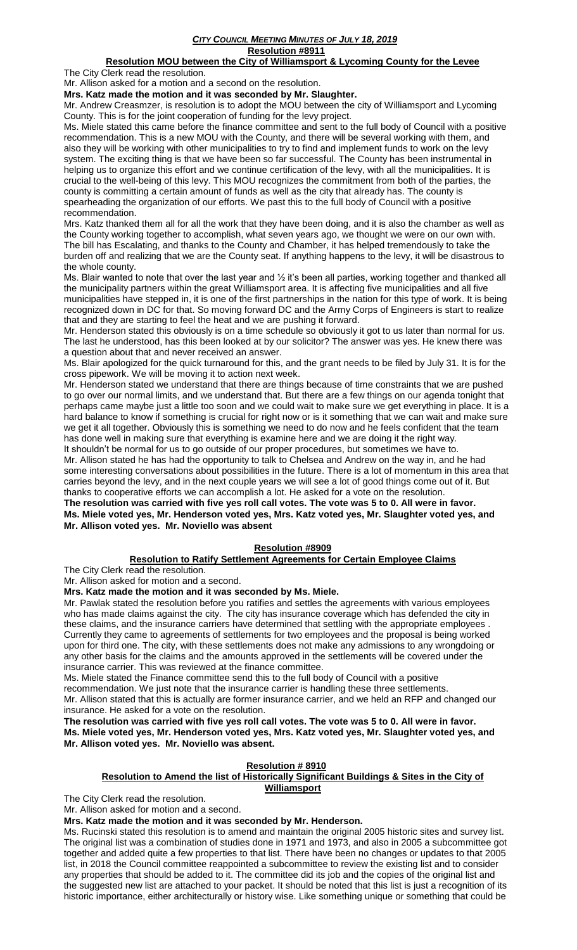#### *CITY COUNCIL MEETING MINUTES OF JULY 18, 2019* **Resolution #8911**

## **Resolution MOU between the City of Williamsport & Lycoming County for the Levee**

The City Clerk read the resolution.

Mr. Allison asked for a motion and a second on the resolution.

**Mrs. Katz made the motion and it was seconded by Mr. Slaughter.**

Mr. Andrew Creasmzer, is resolution is to adopt the MOU between the city of Williamsport and Lycoming County. This is for the joint cooperation of funding for the levy project.

Ms. Miele stated this came before the finance committee and sent to the full body of Council with a positive recommendation. This is a new MOU with the County, and there will be several working with them, and also they will be working with other municipalities to try to find and implement funds to work on the levy system. The exciting thing is that we have been so far successful. The County has been instrumental in helping us to organize this effort and we continue certification of the levy, with all the municipalities. It is crucial to the well-being of this levy. This MOU recognizes the commitment from both of the parties, the county is committing a certain amount of funds as well as the city that already has. The county is spearheading the organization of our efforts. We past this to the full body of Council with a positive recommendation.

Mrs. Katz thanked them all for all the work that they have been doing, and it is also the chamber as well as the County working together to accomplish, what seven years ago, we thought we were on our own with. The bill has Escalating, and thanks to the County and Chamber, it has helped tremendously to take the burden off and realizing that we are the County seat. If anything happens to the levy, it will be disastrous to the whole county.

Ms. Blair wanted to note that over the last year and 1/2 it's been all parties, working together and thanked all the municipality partners within the great Williamsport area. It is affecting five municipalities and all five municipalities have stepped in, it is one of the first partnerships in the nation for this type of work. It is being recognized down in DC for that. So moving forward DC and the Army Corps of Engineers is start to realize that and they are starting to feel the heat and we are pushing it forward.

Mr. Henderson stated this obviously is on a time schedule so obviously it got to us later than normal for us. The last he understood, has this been looked at by our solicitor? The answer was yes. He knew there was a question about that and never received an answer.

Ms. Blair apologized for the quick turnaround for this, and the grant needs to be filed by July 31. It is for the cross pipework. We will be moving it to action next week.

Mr. Henderson stated we understand that there are things because of time constraints that we are pushed to go over our normal limits, and we understand that. But there are a few things on our agenda tonight that perhaps came maybe just a little too soon and we could wait to make sure we get everything in place. It is a hard balance to know if something is crucial for right now or is it something that we can wait and make sure we get it all together. Obviously this is something we need to do now and he feels confident that the team has done well in making sure that everything is examine here and we are doing it the right way.

It shouldn't be normal for us to go outside of our proper procedures, but sometimes we have to. Mr. Allison stated he has had the opportunity to talk to Chelsea and Andrew on the way in, and he had some interesting conversations about possibilities in the future. There is a lot of momentum in this area that carries beyond the levy, and in the next couple years we will see a lot of good things come out of it. But thanks to cooperative efforts we can accomplish a lot. He asked for a vote on the resolution.

**The resolution was carried with five yes roll call votes. The vote was 5 to 0. All were in favor. Ms. Miele voted yes, Mr. Henderson voted yes, Mrs. Katz voted yes, Mr. Slaughter voted yes, and Mr. Allison voted yes. Mr. Noviello was absent**

## **Resolution #8909**

## **Resolution to Ratify Settlement Agreements for Certain Employee Claims**

The City Clerk read the resolution. Mr. Allison asked for motion and a second.

**Mrs. Katz made the motion and it was seconded by Ms. Miele.**

Mr. Pawlak stated the resolution before you ratifies and settles the agreements with various employees who has made claims against the city. The city has insurance coverage which has defended the city in these claims, and the insurance carriers have determined that settling with the appropriate employees . Currently they came to agreements of settlements for two employees and the proposal is being worked upon for third one. The city, with these settlements does not make any admissions to any wrongdoing or any other basis for the claims and the amounts approved in the settlements will be covered under the insurance carrier. This was reviewed at the finance committee.

Ms. Miele stated the Finance committee send this to the full body of Council with a positive

recommendation. We just note that the insurance carrier is handling these three settlements.

Mr. Allison stated that this is actually are former insurance carrier, and we held an RFP and changed our insurance. He asked for a vote on the resolution.

**The resolution was carried with five yes roll call votes. The vote was 5 to 0. All were in favor. Ms. Miele voted yes, Mr. Henderson voted yes, Mrs. Katz voted yes, Mr. Slaughter voted yes, and Mr. Allison voted yes. Mr. Noviello was absent.**

## **Resolution # 8910**

#### **Resolution to Amend the list of Historically Significant Buildings & Sites in the City of Williamsport**

The City Clerk read the resolution.

Mr. Allison asked for motion and a second.

**Mrs. Katz made the motion and it was seconded by Mr. Henderson.**

Ms. Rucinski stated this resolution is to amend and maintain the original 2005 historic sites and survey list. The original list was a combination of studies done in 1971 and 1973, and also in 2005 a subcommittee got together and added quite a few properties to that list. There have been no changes or updates to that 2005 list, in 2018 the Council committee reappointed a subcommittee to review the existing list and to consider any properties that should be added to it. The committee did its job and the copies of the original list and the suggested new list are attached to your packet. It should be noted that this list is just a recognition of its historic importance, either architecturally or history wise. Like something unique or something that could be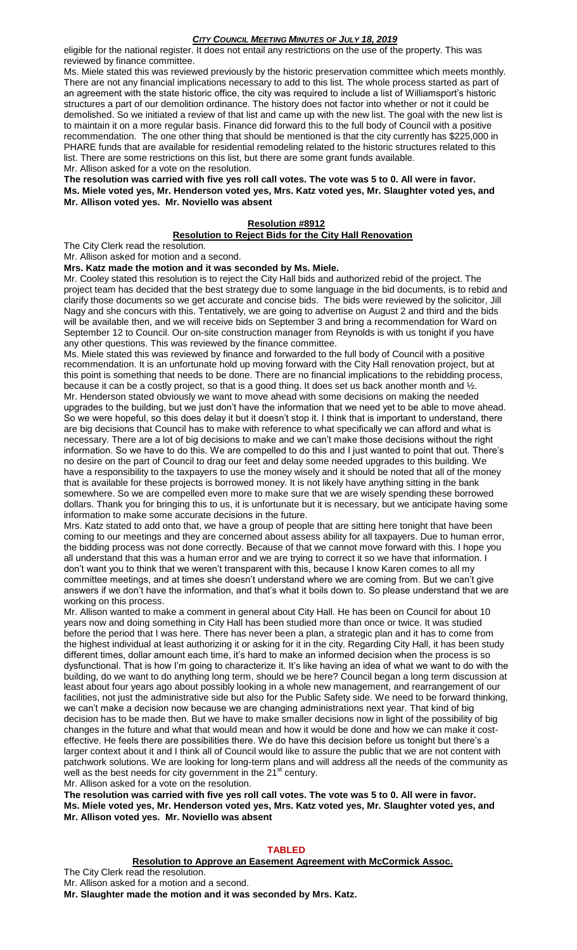eligible for the national register. It does not entail any restrictions on the use of the property. This was reviewed by finance committee.

Ms. Miele stated this was reviewed previously by the historic preservation committee which meets monthly. There are not any financial implications necessary to add to this list. The whole process started as part of an agreement with the state historic office, the city was required to include a list of Williamsport's historic structures a part of our demolition ordinance. The history does not factor into whether or not it could be demolished. So we initiated a review of that list and came up with the new list. The goal with the new list is to maintain it on a more regular basis. Finance did forward this to the full body of Council with a positive recommendation. The one other thing that should be mentioned is that the city currently has \$225,000 in PHARE funds that are available for residential remodeling related to the historic structures related to this list. There are some restrictions on this list, but there are some grant funds available.

Mr. Allison asked for a vote on the resolution.

**The resolution was carried with five yes roll call votes. The vote was 5 to 0. All were in favor. Ms. Miele voted yes, Mr. Henderson voted yes, Mrs. Katz voted yes, Mr. Slaughter voted yes, and Mr. Allison voted yes. Mr. Noviello was absent**

#### **Resolution #8912**

#### **Resolution to Reject Bids for the City Hall Renovation**

The City Clerk read the resolution.

Mr. Allison asked for motion and a second.

#### **Mrs. Katz made the motion and it was seconded by Ms. Miele.**

Mr. Cooley stated this resolution is to reject the City Hall bids and authorized rebid of the project. The project team has decided that the best strategy due to some language in the bid documents, is to rebid and clarify those documents so we get accurate and concise bids. The bids were reviewed by the solicitor, Jill Nagy and she concurs with this. Tentatively, we are going to advertise on August 2 and third and the bids will be available then, and we will receive bids on September 3 and bring a recommendation for Ward on September 12 to Council. Our on-site construction manager from Reynolds is with us tonight if you have any other questions. This was reviewed by the finance committee.

Ms. Miele stated this was reviewed by finance and forwarded to the full body of Council with a positive recommendation. It is an unfortunate hold up moving forward with the City Hall renovation project, but at this point is something that needs to be done. There are no financial implications to the rebidding process, because it can be a costly project, so that is a good thing. It does set us back another month and  $\frac{1}{2}$ . Mr. Henderson stated obviously we want to move ahead with some decisions on making the needed upgrades to the building, but we just don't have the information that we need yet to be able to move ahead. So we were hopeful, so this does delay it but it doesn't stop it. I think that is important to understand, there are big decisions that Council has to make with reference to what specifically we can afford and what is necessary. There are a lot of big decisions to make and we can't make those decisions without the right information. So we have to do this. We are compelled to do this and I just wanted to point that out. There's no desire on the part of Council to drag our feet and delay some needed upgrades to this building. We have a responsibility to the taxpayers to use the money wisely and it should be noted that all of the money that is available for these projects is borrowed money. It is not likely have anything sitting in the bank somewhere. So we are compelled even more to make sure that we are wisely spending these borrowed dollars. Thank you for bringing this to us, it is unfortunate but it is necessary, but we anticipate having some information to make some accurate decisions in the future.

Mrs. Katz stated to add onto that, we have a group of people that are sitting here tonight that have been coming to our meetings and they are concerned about assess ability for all taxpayers. Due to human error, the bidding process was not done correctly. Because of that we cannot move forward with this. I hope you all understand that this was a human error and we are trying to correct it so we have that information. I don't want you to think that we weren't transparent with this, because I know Karen comes to all my committee meetings, and at times she doesn't understand where we are coming from. But we can't give answers if we don't have the information, and that's what it boils down to. So please understand that we are working on this process.

Mr. Allison wanted to make a comment in general about City Hall. He has been on Council for about 10 years now and doing something in City Hall has been studied more than once or twice. It was studied before the period that I was here. There has never been a plan, a strategic plan and it has to come from the highest individual at least authorizing it or asking for it in the city. Regarding City Hall, it has been study different times, dollar amount each time, it's hard to make an informed decision when the process is so dysfunctional. That is how I'm going to characterize it. It's like having an idea of what we want to do with the building, do we want to do anything long term, should we be here? Council began a long term discussion at least about four years ago about possibly looking in a whole new management, and rearrangement of our facilities, not just the administrative side but also for the Public Safety side. We need to be forward thinking, we can't make a decision now because we are changing administrations next year. That kind of big decision has to be made then. But we have to make smaller decisions now in light of the possibility of big changes in the future and what that would mean and how it would be done and how we can make it costeffective. He feels there are possibilities there. We do have this decision before us tonight but there's a larger context about it and I think all of Council would like to assure the public that we are not content with patchwork solutions. We are looking for long-term plans and will address all the needs of the community as well as the best needs for city government in the  $21<sup>st</sup>$  century. Mr. Allison asked for a vote on the resolution.

**The resolution was carried with five yes roll call votes. The vote was 5 to 0. All were in favor. Ms. Miele voted yes, Mr. Henderson voted yes, Mrs. Katz voted yes, Mr. Slaughter voted yes, and Mr. Allison voted yes. Mr. Noviello was absent**

#### **TABLED**

#### **Resolution to Approve an Easement Agreement with McCormick Assoc.**

The City Clerk read the resolution.

Mr. Allison asked for a motion and a second.

**Mr. Slaughter made the motion and it was seconded by Mrs. Katz.**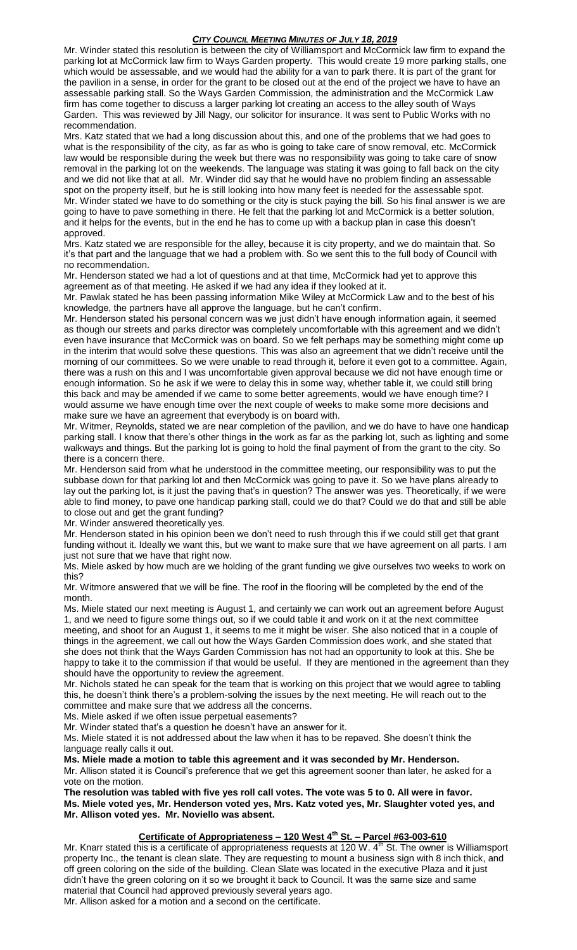Mr. Winder stated this resolution is between the city of Williamsport and McCormick law firm to expand the parking lot at McCormick law firm to Ways Garden property. This would create 19 more parking stalls, one which would be assessable, and we would had the ability for a van to park there. It is part of the grant for the pavilion in a sense, in order for the grant to be closed out at the end of the project we have to have an assessable parking stall. So the Ways Garden Commission, the administration and the McCormick Law firm has come together to discuss a larger parking lot creating an access to the alley south of Ways Garden. This was reviewed by Jill Nagy, our solicitor for insurance. It was sent to Public Works with no recommendation.

Mrs. Katz stated that we had a long discussion about this, and one of the problems that we had goes to what is the responsibility of the city, as far as who is going to take care of snow removal, etc. McCormick law would be responsible during the week but there was no responsibility was going to take care of snow removal in the parking lot on the weekends. The language was stating it was going to fall back on the city and we did not like that at all. Mr. Winder did say that he would have no problem finding an assessable spot on the property itself, but he is still looking into how many feet is needed for the assessable spot. Mr. Winder stated we have to do something or the city is stuck paying the bill. So his final answer is we are going to have to pave something in there. He felt that the parking lot and McCormick is a better solution, and it helps for the events, but in the end he has to come up with a backup plan in case this doesn't approved.

Mrs. Katz stated we are responsible for the alley, because it is city property, and we do maintain that. So it's that part and the language that we had a problem with. So we sent this to the full body of Council with no recommendation.

Mr. Henderson stated we had a lot of questions and at that time, McCormick had yet to approve this agreement as of that meeting. He asked if we had any idea if they looked at it.

Mr. Pawlak stated he has been passing information Mike Wiley at McCormick Law and to the best of his knowledge, the partners have all approve the language, but he can't confirm.

Mr. Henderson stated his personal concern was we just didn't have enough information again, it seemed as though our streets and parks director was completely uncomfortable with this agreement and we didn't even have insurance that McCormick was on board. So we felt perhaps may be something might come up in the interim that would solve these questions. This was also an agreement that we didn't receive until the morning of our committees. So we were unable to read through it, before it even got to a committee. Again, there was a rush on this and I was uncomfortable given approval because we did not have enough time or enough information. So he ask if we were to delay this in some way, whether table it, we could still bring this back and may be amended if we came to some better agreements, would we have enough time? I would assume we have enough time over the next couple of weeks to make some more decisions and make sure we have an agreement that everybody is on board with.

Mr. Witmer, Reynolds, stated we are near completion of the pavilion, and we do have to have one handicap parking stall. I know that there's other things in the work as far as the parking lot, such as lighting and some walkways and things. But the parking lot is going to hold the final payment of from the grant to the city. So there is a concern there.

Mr. Henderson said from what he understood in the committee meeting, our responsibility was to put the subbase down for that parking lot and then McCormick was going to pave it. So we have plans already to lay out the parking lot, is it just the paving that's in question? The answer was yes. Theoretically, if we were able to find money, to pave one handicap parking stall, could we do that? Could we do that and still be able to close out and get the grant funding?

Mr. Winder answered theoretically yes.

Mr. Henderson stated in his opinion been we don't need to rush through this if we could still get that grant funding without it. Ideally we want this, but we want to make sure that we have agreement on all parts. I am just not sure that we have that right now.

Ms. Miele asked by how much are we holding of the grant funding we give ourselves two weeks to work on this?

Mr. Witmore answered that we will be fine. The roof in the flooring will be completed by the end of the month.

Ms. Miele stated our next meeting is August 1, and certainly we can work out an agreement before August 1, and we need to figure some things out, so if we could table it and work on it at the next committee meeting, and shoot for an August 1, it seems to me it might be wiser. She also noticed that in a couple of things in the agreement, we call out how the Ways Garden Commission does work, and she stated that she does not think that the Ways Garden Commission has not had an opportunity to look at this. She be happy to take it to the commission if that would be useful. If they are mentioned in the agreement than they should have the opportunity to review the agreement.

Mr. Nichols stated he can speak for the team that is working on this project that we would agree to tabling this, he doesn't think there's a problem-solving the issues by the next meeting. He will reach out to the committee and make sure that we address all the concerns.

Ms. Miele asked if we often issue perpetual easements?

Mr. Winder stated that's a question he doesn't have an answer for it.

Ms. Miele stated it is not addressed about the law when it has to be repaved. She doesn't think the language really calls it out.

**Ms. Miele made a motion to table this agreement and it was seconded by Mr. Henderson.** Mr. Allison stated it is Council's preference that we get this agreement sooner than later, he asked for a vote on the motion.

**The resolution was tabled with five yes roll call votes. The vote was 5 to 0. All were in favor. Ms. Miele voted yes, Mr. Henderson voted yes, Mrs. Katz voted yes, Mr. Slaughter voted yes, and Mr. Allison voted yes. Mr. Noviello was absent.**

## **Certificate of Appropriateness – 120 West 4th St. – Parcel #63-003-610**

Mr. Knarr stated this is a certificate of appropriateness requests at 120 W. 4<sup>th</sup> St. The owner is Williamsport property Inc., the tenant is clean slate. They are requesting to mount a business sign with 8 inch thick, and off green coloring on the side of the building. Clean Slate was located in the executive Plaza and it just didn't have the green coloring on it so we brought it back to Council. It was the same size and same material that Council had approved previously several years ago.

Mr. Allison asked for a motion and a second on the certificate.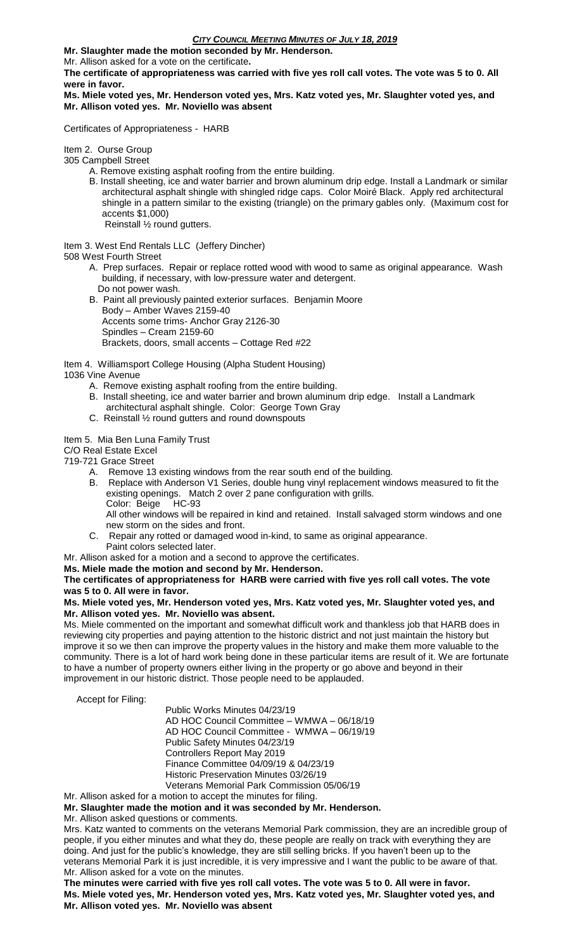#### **Mr. Slaughter made the motion seconded by Mr. Henderson.**

Mr. Allison asked for a vote on the certificate**.**

**The certificate of appropriateness was carried with five yes roll call votes. The vote was 5 to 0. All were in favor.**

**Ms. Miele voted yes, Mr. Henderson voted yes, Mrs. Katz voted yes, Mr. Slaughter voted yes, and Mr. Allison voted yes. Mr. Noviello was absent**

Certificates of Appropriateness - HARB

Item 2. Ourse Group

305 Campbell Street

- A. Remove existing asphalt roofing from the entire building.
- B. Install sheeting, ice and water barrier and brown aluminum drip edge. Install a Landmark or similar architectural asphalt shingle with shingled ridge caps. Color Moiré Black. Apply red architectural shingle in a pattern similar to the existing (triangle) on the primary gables only. (Maximum cost for accents \$1,000)

Reinstall ½ round gutters.

Item 3. West End Rentals LLC (Jeffery Dincher)

508 West Fourth Street

- A. Prep surfaces. Repair or replace rotted wood with wood to same as original appearance. Wash building, if necessary, with low-pressure water and detergent. Do not power wash.
- B. Paint all previously painted exterior surfaces. Benjamin Moore Body – Amber Waves 2159-40 Accents some trims- Anchor Gray 2126-30 Spindles – Cream 2159-60 Brackets, doors, small accents – Cottage Red #22

Item 4. Williamsport College Housing (Alpha Student Housing) 1036 Vine Avenue

- A. Remove existing asphalt roofing from the entire building.
- B. Install sheeting, ice and water barrier and brown aluminum drip edge. Install a Landmark architectural asphalt shingle. Color: George Town Gray
- C. Reinstall ½ round gutters and round downspouts

Item 5. Mia Ben Luna Family Trust

C/O Real Estate Excel

719-721 Grace Street

- A. Remove 13 existing windows from the rear south end of the building.
- B. Replace with Anderson V1 Series, double hung vinyl replacement windows measured to fit the existing openings. Match 2 over 2 pane configuration with grills. Color: Beige HC-93 All other windows will be repaired in kind and retained. Install salvaged storm windows and one
	- new storm on the sides and front.
- C. Repair any rotted or damaged wood in-kind, to same as original appearance. Paint colors selected later.

Mr. Allison asked for a motion and a second to approve the certificates.

**Ms. Miele made the motion and second by Mr. Henderson.**

## **The certificates of appropriateness for HARB were carried with five yes roll call votes. The vote was 5 to 0. All were in favor.**

## **Ms. Miele voted yes, Mr. Henderson voted yes, Mrs. Katz voted yes, Mr. Slaughter voted yes, and Mr. Allison voted yes. Mr. Noviello was absent.**

Ms. Miele commented on the important and somewhat difficult work and thankless job that HARB does in reviewing city properties and paying attention to the historic district and not just maintain the history but improve it so we then can improve the property values in the history and make them more valuable to the community. There is a lot of hard work being done in these particular items are result of it. We are fortunate to have a number of property owners either living in the property or go above and beyond in their improvement in our historic district. Those people need to be applauded.

Accept for Filing:

 Public Works Minutes 04/23/19 AD HOC Council Committee – WMWA – 06/18/19 AD HOC Council Committee - WMWA – 06/19/19 Public Safety Minutes 04/23/19 Controllers Report May 2019 Finance Committee 04/09/19 & 04/23/19 Historic Preservation Minutes 03/26/19 Veterans Memorial Park Commission 05/06/19 Mr. Allison asked for a motion to accept the minutes for filing.

**Mr. Slaughter made the motion and it was seconded by Mr. Henderson.**

Mr. Allison asked questions or comments.

Mrs. Katz wanted to comments on the veterans Memorial Park commission, they are an incredible group of people, if you either minutes and what they do, these people are really on track with everything they are doing. And just for the public's knowledge, they are still selling bricks. If you haven't been up to the veterans Memorial Park it is just incredible, it is very impressive and I want the public to be aware of that. Mr. Allison asked for a vote on the minutes.

**The minutes were carried with five yes roll call votes. The vote was 5 to 0. All were in favor. Ms. Miele voted yes, Mr. Henderson voted yes, Mrs. Katz voted yes, Mr. Slaughter voted yes, and Mr. Allison voted yes. Mr. Noviello was absent**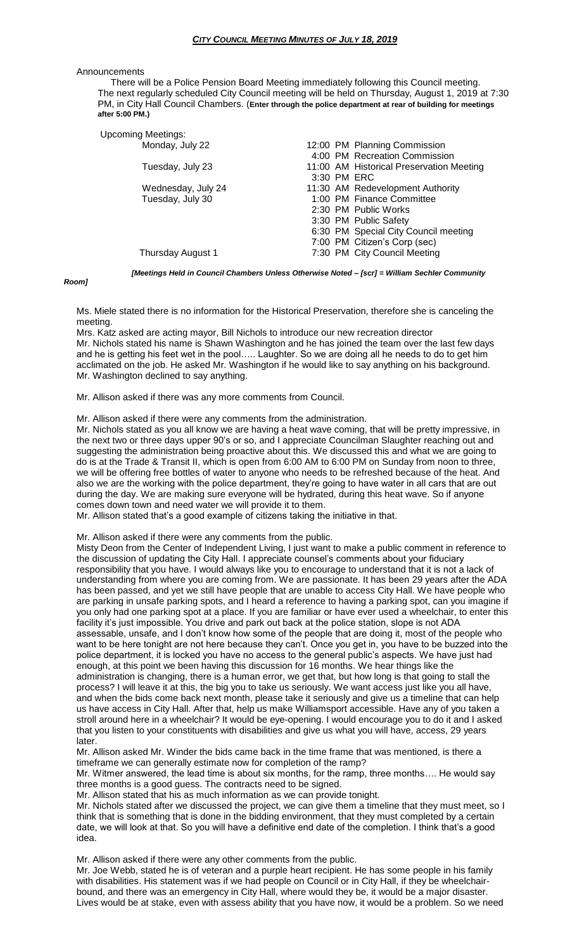#### **Announcements**

 There will be a Police Pension Board Meeting immediately following this Council meeting. The next regularly scheduled City Council meeting will be held on Thursday, August 1, 2019 at 7:30 PM, in City Hall Council Chambers. (**Enter through the police department at rear of building for meetings after 5:00 PM.)**

| <b>Upcoming Meetings:</b> |  |                                          |
|---------------------------|--|------------------------------------------|
| Monday, July 22           |  | 12:00 PM Planning Commission             |
|                           |  | 4:00 PM Recreation Commission            |
| Tuesday, July 23          |  | 11:00 AM Historical Preservation Meeting |
|                           |  | 3:30 PM ERC                              |
| Wednesday, July 24        |  | 11:30 AM Redevelopment Authority         |
| Tuesday, July 30          |  | 1:00 PM Finance Committee                |
|                           |  | 2:30 PM Public Works                     |
|                           |  | 3:30 PM Public Safety                    |
|                           |  | 6:30 PM Special City Council meeting     |
|                           |  | 7:00 PM Citizen's Corp (sec)             |
| Thursday August 1         |  | 7:30 PM City Council Meeting             |
|                           |  |                                          |

*[Meetings Held in Council Chambers Unless Otherwise Noted – [scr] = William Sechler Community* 

#### *Room]*

Ms. Miele stated there is no information for the Historical Preservation, therefore she is canceling the meeting.

Mrs. Katz asked are acting mayor, Bill Nichols to introduce our new recreation director Mr. Nichols stated his name is Shawn Washington and he has joined the team over the last few days and he is getting his feet wet in the pool….. Laughter. So we are doing all he needs to do to get him acclimated on the job. He asked Mr. Washington if he would like to say anything on his background. Mr. Washington declined to say anything.

Mr. Allison asked if there was any more comments from Council.

Mr. Allison asked if there were any comments from the administration.

Mr. Nichols stated as you all know we are having a heat wave coming, that will be pretty impressive, in the next two or three days upper 90's or so, and I appreciate Councilman Slaughter reaching out and suggesting the administration being proactive about this. We discussed this and what we are going to do is at the Trade & Transit II, which is open from 6:00 AM to 6:00 PM on Sunday from noon to three, we will be offering free bottles of water to anyone who needs to be refreshed because of the heat. And also we are the working with the police department, they're going to have water in all cars that are out during the day. We are making sure everyone will be hydrated, during this heat wave. So if anyone comes down town and need water we will provide it to them.

Mr. Allison stated that's a good example of citizens taking the initiative in that.

Mr. Allison asked if there were any comments from the public.

Misty Deon from the Center of Independent Living, I just want to make a public comment in reference to the discussion of updating the City Hall. I appreciate counsel's comments about your fiduciary responsibility that you have. I would always like you to encourage to understand that it is not a lack of understanding from where you are coming from. We are passionate. It has been 29 years after the ADA has been passed, and yet we still have people that are unable to access City Hall. We have people who are parking in unsafe parking spots, and I heard a reference to having a parking spot, can you imagine if you only had one parking spot at a place. If you are familiar or have ever used a wheelchair, to enter this facility it's just impossible. You drive and park out back at the police station, slope is not ADA assessable, unsafe, and I don't know how some of the people that are doing it, most of the people who want to be here tonight are not here because they can't. Once you get in, you have to be buzzed into the police department, it is locked you have no access to the general public's aspects. We have just had enough, at this point we been having this discussion for 16 months. We hear things like the administration is changing, there is a human error, we get that, but how long is that going to stall the process? I will leave it at this, the big you to take us seriously. We want access just like you all have, and when the bids come back next month, please take it seriously and give us a timeline that can help us have access in City Hall. After that, help us make Williamsport accessible. Have any of you taken a stroll around here in a wheelchair? It would be eye-opening. I would encourage you to do it and I asked that you listen to your constituents with disabilities and give us what you will have, access, 29 years later.

Mr. Allison asked Mr. Winder the bids came back in the time frame that was mentioned, is there a timeframe we can generally estimate now for completion of the ramp?

Mr. Witmer answered, the lead time is about six months, for the ramp, three months…. He would say three months is a good guess. The contracts need to be signed.

Mr. Allison stated that his as much information as we can provide tonight.

Mr. Nichols stated after we discussed the project, we can give them a timeline that they must meet, so I think that is something that is done in the bidding environment, that they must completed by a certain date, we will look at that. So you will have a definitive end date of the completion. I think that's a good idea.

Mr. Allison asked if there were any other comments from the public.

Mr. Joe Webb, stated he is of veteran and a purple heart recipient. He has some people in his family with disabilities. His statement was if we had people on Council or in City Hall, if they be wheelchairbound, and there was an emergency in City Hall, where would they be, it would be a major disaster. Lives would be at stake, even with assess ability that you have now, it would be a problem. So we need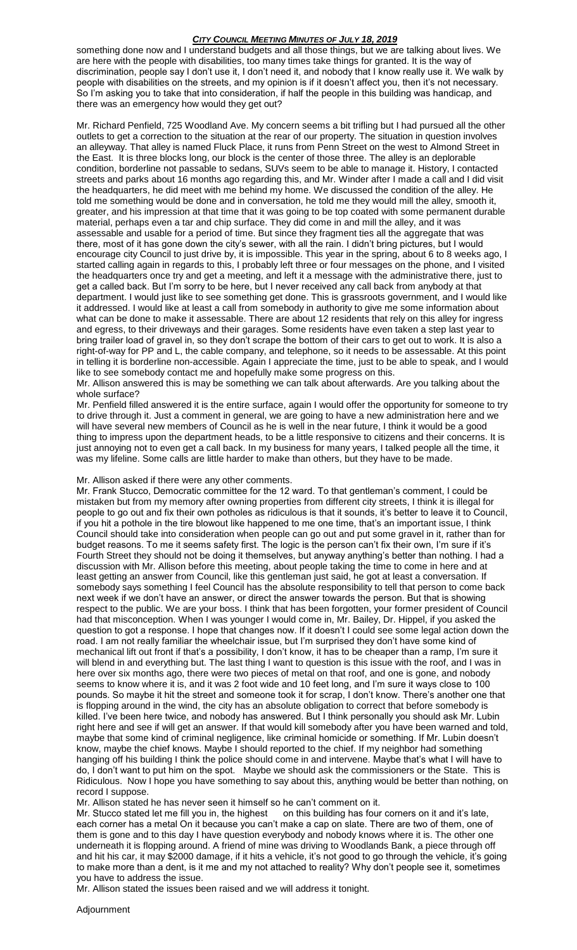something done now and I understand budgets and all those things, but we are talking about lives. We are here with the people with disabilities, too many times take things for granted. It is the way of discrimination, people say I don't use it, I don't need it, and nobody that I know really use it. We walk by people with disabilities on the streets, and my opinion is if it doesn't affect you, then it's not necessary. So I'm asking you to take that into consideration, if half the people in this building was handicap, and there was an emergency how would they get out?

Mr. Richard Penfield, 725 Woodland Ave. My concern seems a bit trifling but I had pursued all the other outlets to get a correction to the situation at the rear of our property. The situation in question involves an alleyway. That alley is named Fluck Place, it runs from Penn Street on the west to Almond Street in the East. It is three blocks long, our block is the center of those three. The alley is an deplorable condition, borderline not passable to sedans, SUVs seem to be able to manage it. History, I contacted streets and parks about 16 months ago regarding this, and Mr. Winder after I made a call and I did visit the headquarters, he did meet with me behind my home. We discussed the condition of the alley. He told me something would be done and in conversation, he told me they would mill the alley, smooth it, greater, and his impression at that time that it was going to be top coated with some permanent durable material, perhaps even a tar and chip surface. They did come in and mill the alley, and it was assessable and usable for a period of time. But since they fragment ties all the aggregate that was there, most of it has gone down the city's sewer, with all the rain. I didn't bring pictures, but I would encourage city Council to just drive by, it is impossible. This year in the spring, about 6 to 8 weeks ago, I started calling again in regards to this, I probably left three or four messages on the phone, and I visited the headquarters once try and get a meeting, and left it a message with the administrative there, just to get a called back. But I'm sorry to be here, but I never received any call back from anybody at that department. I would just like to see something get done. This is grassroots government, and I would like it addressed. I would like at least a call from somebody in authority to give me some information about what can be done to make it assessable. There are about 12 residents that rely on this alley for ingress and egress, to their driveways and their garages. Some residents have even taken a step last year to bring trailer load of gravel in, so they don't scrape the bottom of their cars to get out to work. It is also a right-of-way for PP and L, the cable company, and telephone, so it needs to be assessable. At this point in telling it is borderline non-accessible. Again I appreciate the time, just to be able to speak, and I would like to see somebody contact me and hopefully make some progress on this.

#### Mr. Allison answered this is may be something we can talk about afterwards. Are you talking about the whole surface?

Mr. Penfield filled answered it is the entire surface, again I would offer the opportunity for someone to try to drive through it. Just a comment in general, we are going to have a new administration here and we will have several new members of Council as he is well in the near future, I think it would be a good thing to impress upon the department heads, to be a little responsive to citizens and their concerns. It is just annoying not to even get a call back. In my business for many years, I talked people all the time, it was my lifeline. Some calls are little harder to make than others, but they have to be made.

#### Mr. Allison asked if there were any other comments.

Mr. Frank Stucco, Democratic committee for the 12 ward. To that gentleman's comment, I could be mistaken but from my memory after owning properties from different city streets, I think it is illegal for people to go out and fix their own potholes as ridiculous is that it sounds, it's better to leave it to Council, if you hit a pothole in the tire blowout like happened to me one time, that's an important issue, I think Council should take into consideration when people can go out and put some gravel in it, rather than for budget reasons. To me it seems safety first. The logic is the person can't fix their own, I'm sure if it's Fourth Street they should not be doing it themselves, but anyway anything's better than nothing. I had a discussion with Mr. Allison before this meeting, about people taking the time to come in here and at least getting an answer from Council, like this gentleman just said, he got at least a conversation. If somebody says something I feel Council has the absolute responsibility to tell that person to come back next week if we don't have an answer, or direct the answer towards the person. But that is showing respect to the public. We are your boss. I think that has been forgotten, your former president of Council had that misconception. When I was younger I would come in, Mr. Bailey, Dr. Hippel, if you asked the question to got a response. I hope that changes now. If it doesn't I could see some legal action down the road. I am not really familiar the wheelchair issue, but I'm surprised they don't have some kind of mechanical lift out front if that's a possibility, I don't know, it has to be cheaper than a ramp, I'm sure it will blend in and everything but. The last thing I want to question is this issue with the roof, and I was in here over six months ago, there were two pieces of metal on that roof, and one is gone, and nobody seems to know where it is, and it was 2 foot wide and 10 feet long, and I'm sure it ways close to 100 pounds. So maybe it hit the street and someone took it for scrap, I don't know. There's another one that is flopping around in the wind, the city has an absolute obligation to correct that before somebody is killed. I've been here twice, and nobody has answered. But I think personally you should ask Mr. Lubin right here and see if will get an answer. If that would kill somebody after you have been warned and told, maybe that some kind of criminal negligence, like criminal homicide or something. If Mr. Lubin doesn't know, maybe the chief knows. Maybe I should reported to the chief. If my neighbor had something hanging off his building I think the police should come in and intervene. Maybe that's what I will have to do, I don't want to put him on the spot. Maybe we should ask the commissioners or the State. This is Ridiculous. Now I hope you have something to say about this, anything would be better than nothing, on record I suppose.

Mr. Allison stated he has never seen it himself so he can't comment on it.

Mr. Stucco stated let me fill you in, the highest on this building has four corners on it and it's late, each corner has a metal On it because you can't make a cap on slate. There are two of them, one of them is gone and to this day I have question everybody and nobody knows where it is. The other one underneath it is flopping around. A friend of mine was driving to Woodlands Bank, a piece through off and hit his car, it may \$2000 damage, if it hits a vehicle, it's not good to go through the vehicle, it's going to make more than a dent, is it me and my not attached to reality? Why don't people see it, sometimes you have to address the issue.

Mr. Allison stated the issues been raised and we will address it tonight.